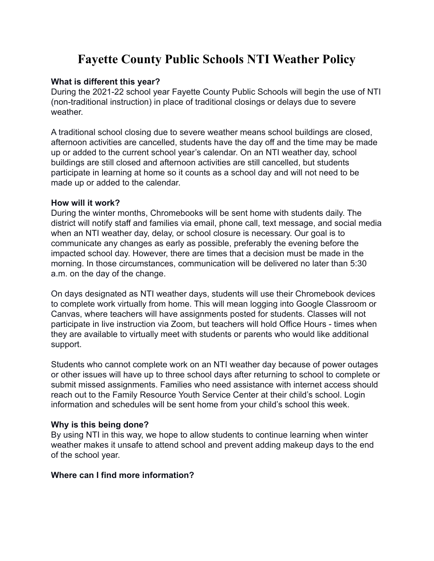# **Fayette County Public Schools NTI Weather Policy**

### **What is different this year?**

During the 2021-22 school year Fayette County Public Schools will begin the use of NTI (non-traditional instruction) in place of traditional closings or delays due to severe weather.

A traditional school closing due to severe weather means school buildings are closed, afternoon activities are cancelled, students have the day off and the time may be made up or added to the current school year's calendar. On an NTI weather day, school buildings are still closed and afternoon activities are still cancelled, but students participate in learning at home so it counts as a school day and will not need to be made up or added to the calendar.

#### **How will it work?**

During the winter months, Chromebooks will be sent home with students daily. The district will notify staff and families via email, phone call, text message, and social media when an NTI weather day, delay, or school closure is necessary. Our goal is to communicate any changes as early as possible, preferably the evening before the impacted school day. However, there are times that a decision must be made in the morning. In those circumstances, communication will be delivered no later than 5:30 a.m. on the day of the change.

On days designated as NTI weather days, students will use their Chromebook devices to complete work virtually from home. This will mean logging into Google Classroom or Canvas, where teachers will have assignments posted for students. Classes will not participate in live instruction via Zoom, but teachers will hold Office Hours - times when they are available to virtually meet with students or parents who would like additional support.

Students who cannot complete work on an NTI weather day because of power outages or other issues will have up to three school days after returning to school to complete or submit missed assignments. Families who need assistance with internet access should reach out to the Family Resource Youth Service Center at their child's school. Login information and schedules will be sent home from your child's school this week.

## **Why is this being done?**

By using NTI in this way, we hope to allow students to continue learning when winter weather makes it unsafe to attend school and prevent adding makeup days to the end of the school year.

## **Where can I find more information?**